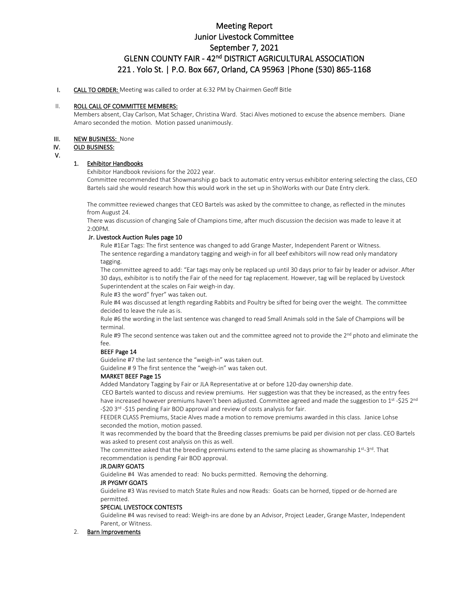# Meeting Report Junior Livestock Committee September 7, 2021 GLENN COUNTY FAIR - 42<sup>nd</sup> DISTRICT AGRICULTURAL ASSOCIATION 221 . Yolo St. | P.O. Box 667, Orland, CA 95963 |Phone (530) 865-1168

## I. CALL TO ORDER: Meeting was called to order at 6:32 PM by Chairmen Geoff Bitle

#### II. ROLL CALL OF COMMITTEE MEMBERS:

Members absent, Clay Carlson, Mat Schager, Christina Ward. Staci Alves motioned to excuse the absence members. Diane Amaro seconded the motion. Motion passed unanimously.

#### III. NEW BUSINESS: None

## IV. OLD BUSINESS:

V.

# 1. Exhibitor Handbooks

Exhibitor Handbook revisions for the 2022 year.

Committee recommended that Showmanship go back to automatic entry versus exhibitor entering selecting the class, CEO Bartels said she would research how this would work in the set up in ShoWorks with our Date Entry clerk.

The committee reviewed changes that CEO Bartels was asked by the committee to change, as reflected in the minutes from August 24.

There was discussion of changing Sale of Champions time, after much discussion the decision was made to leave it at 2:00PM.

## Jr. Livestock Auction Rules page 10

Rule #1Ear Tags: The first sentence was changed to add Grange Master, Independent Parent or Witness. The sentence regarding a mandatory tagging and weigh-in for all beef exhibitors will now read only mandatory tagging.

The committee agreed to add: "Ear tags may only be replaced up until 30 days prior to fair by leader or advisor. After 30 days, exhibitor is to notify the Fair of the need for tag replacement. However, tag will be replaced by Livestock Superintendent at the scales on Fair weigh-in day.

Rule #3 the word" fryer" was taken out.

Rule #4 was discussed at length regarding Rabbits and Poultry be sifted for being over the weight. The committee decided to leave the rule as is.

Rule #6 the wording in the last sentence was changed to read Small Animals sold in the Sale of Champions will be terminal.

Rule #9 The second sentence was taken out and the committee agreed not to provide the 2<sup>nd</sup> photo and eliminate the fee.

#### BEEF Page 14

Guideline #7 the last sentence the "weigh-in" was taken out.

Guideline # 9 The first sentence the "weigh-in" was taken out.

## MARKET BEEF Page 15

Added Mandatory Tagging by Fair or JLA Representative at or before 120-day ownership date.

CEO Bartels wanted to discuss and review premiums. Her suggestion was that they be increased, as the entry fees have increased however premiums haven't been adjusted. Committee agreed and made the suggestion to 1st -\$25 2<sup>nd</sup> -\$20 3<sup>rd</sup> -\$15 pending Fair BOD approval and review of costs analysis for fair.

FEEDER CLASS Premiums, Stacie Alves made a motion to remove premiums awarded in this class. Janice Lohse seconded the motion, motion passed.

It was recommended by the board that the Breeding classes premiums be paid per division not per class. CEO Bartels was asked to present cost analysis on this as well.

The committee asked that the breeding premiums extend to the same placing as showmanship 1st-3rd. That recommendation is pending Fair BOD approval.

## JR.DAIRY GOATS

Guideline #4 Was amended to read: No bucks permitted. Removing the dehorning.

# JR PYGMY GOATS

Guideline #3 Was revised to match State Rules and now Reads: Goats can be horned, tipped or de-horned are permitted.

#### SPECIAL LIVESTOCK CONTESTS

Guideline #4 was revised to read: Weigh-ins are done by an Advisor, Project Leader, Grange Master, Independent Parent, or Witness.

#### 2. Barn Improvements